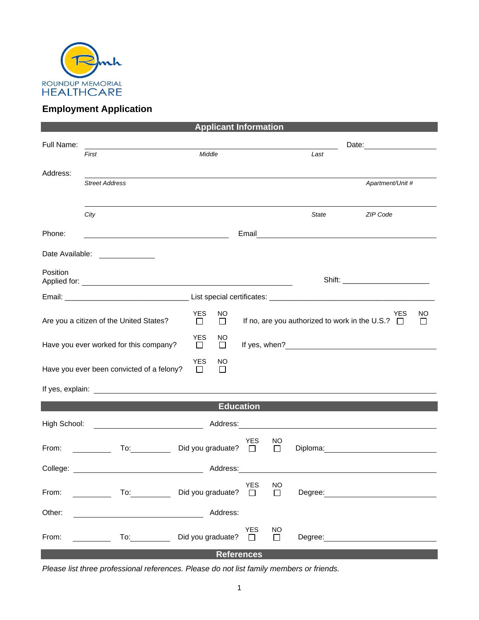

## **Employment Application**

| <b>Applicant Information</b> |                                                                                                                                                                                                                                |                                                                                                                                                      |                   |                            |                |       |                                                                                                                                                                                                                                |
|------------------------------|--------------------------------------------------------------------------------------------------------------------------------------------------------------------------------------------------------------------------------|------------------------------------------------------------------------------------------------------------------------------------------------------|-------------------|----------------------------|----------------|-------|--------------------------------------------------------------------------------------------------------------------------------------------------------------------------------------------------------------------------------|
| Full Name:                   |                                                                                                                                                                                                                                |                                                                                                                                                      |                   |                            |                |       |                                                                                                                                                                                                                                |
|                              | First                                                                                                                                                                                                                          | Middle                                                                                                                                               |                   |                            |                | Last  |                                                                                                                                                                                                                                |
| Address:                     |                                                                                                                                                                                                                                |                                                                                                                                                      |                   |                            |                |       |                                                                                                                                                                                                                                |
|                              | <b>Street Address</b>                                                                                                                                                                                                          |                                                                                                                                                      |                   |                            |                |       | Apartment/Unit #                                                                                                                                                                                                               |
|                              |                                                                                                                                                                                                                                |                                                                                                                                                      |                   |                            |                |       |                                                                                                                                                                                                                                |
|                              | City                                                                                                                                                                                                                           |                                                                                                                                                      |                   |                            |                | State | ZIP Code                                                                                                                                                                                                                       |
| Phone:                       | <u> 1980 - Johann Barbara, martxa alemaniar a</u>                                                                                                                                                                              |                                                                                                                                                      |                   |                            |                |       | Email <u>___________________________________</u>                                                                                                                                                                               |
| Date Available:              |                                                                                                                                                                                                                                |                                                                                                                                                      |                   |                            |                |       |                                                                                                                                                                                                                                |
| Position                     |                                                                                                                                                                                                                                |                                                                                                                                                      |                   |                            |                |       |                                                                                                                                                                                                                                |
|                              |                                                                                                                                                                                                                                |                                                                                                                                                      |                   |                            |                |       |                                                                                                                                                                                                                                |
|                              | Are you a citizen of the United States?                                                                                                                                                                                        | <b>YES</b><br>NO<br>YES<br>NO.<br>If no, are you authorized to work in the U.S.? $\Box$<br>$\Box$<br>$\Box$<br><b>YES</b><br>NO.<br>$\Box$<br>$\Box$ |                   |                            |                |       |                                                                                                                                                                                                                                |
|                              | Have you ever worked for this company?                                                                                                                                                                                         |                                                                                                                                                      |                   |                            |                |       |                                                                                                                                                                                                                                |
|                              | Have you ever been convicted of a felony?                                                                                                                                                                                      | <b>YES</b><br>$\Box$                                                                                                                                 | NO<br>$\Box$      |                            |                |       |                                                                                                                                                                                                                                |
|                              |                                                                                                                                                                                                                                |                                                                                                                                                      |                   |                            |                |       |                                                                                                                                                                                                                                |
|                              |                                                                                                                                                                                                                                |                                                                                                                                                      | <b>Education</b>  |                            |                |       |                                                                                                                                                                                                                                |
| High School:                 | <u> 1990 - Johann Barbara, martin d</u>                                                                                                                                                                                        |                                                                                                                                                      |                   |                            |                |       | Address: and the contract of the contract of the contract of the contract of the contract of the contract of the contract of the contract of the contract of the contract of the contract of the contract of the contract of t |
| From:                        | To: the contract of the contract of the contract of the contract of the contract of the contract of the contract of the contract of the contract of the contract of the contract of the contract of the contract of the contra |                                                                                                                                                      | Did you graduate? | YES<br>$\Box$              | NO<br>$\Box$   |       | Diploma: 2000                                                                                                                                                                                                                  |
| College:                     |                                                                                                                                                                                                                                |                                                                                                                                                      | Address:          |                            |                |       |                                                                                                                                                                                                                                |
| From:                        | To: the contract of the contract of the contract of the contract of the contract of the contract of the contract of the contract of the contract of the contract of the contract of the contract of the contract of the contra |                                                                                                                                                      | Did you graduate? | <b>YES</b><br>$\mathbf{1}$ | <b>NO</b><br>П |       |                                                                                                                                                                                                                                |
| Other:                       |                                                                                                                                                                                                                                |                                                                                                                                                      | Address:          |                            |                |       |                                                                                                                                                                                                                                |
| From:                        | $\overline{10}$ :                                                                                                                                                                                                              |                                                                                                                                                      | Did you graduate? | YES<br>$\Box$              | NO<br>$\Box$   |       | Degree: 2000                                                                                                                                                                                                                   |
|                              |                                                                                                                                                                                                                                |                                                                                                                                                      | <b>References</b> |                            |                |       |                                                                                                                                                                                                                                |

*Please list three professional references. Please do not list family members or friends.*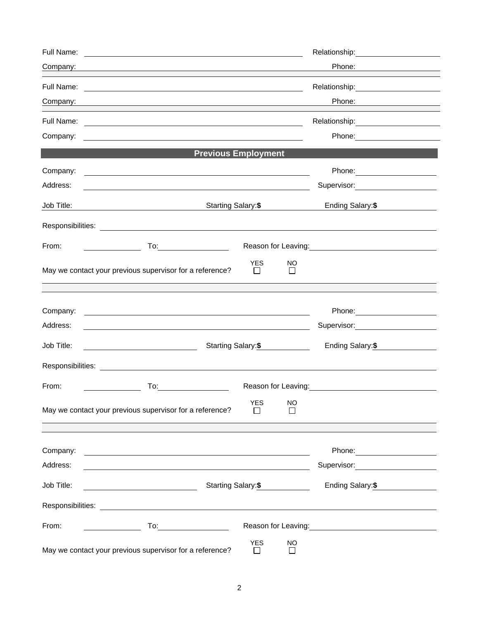|                                              | Phone:                                                                                                                                                                                                                                                                                                                                                                                                                                                                                                                                                                                                                                                                                                                                                                                       |  |  |  |
|----------------------------------------------|----------------------------------------------------------------------------------------------------------------------------------------------------------------------------------------------------------------------------------------------------------------------------------------------------------------------------------------------------------------------------------------------------------------------------------------------------------------------------------------------------------------------------------------------------------------------------------------------------------------------------------------------------------------------------------------------------------------------------------------------------------------------------------------------|--|--|--|
|                                              | Relationship: 2000                                                                                                                                                                                                                                                                                                                                                                                                                                                                                                                                                                                                                                                                                                                                                                           |  |  |  |
|                                              |                                                                                                                                                                                                                                                                                                                                                                                                                                                                                                                                                                                                                                                                                                                                                                                              |  |  |  |
|                                              |                                                                                                                                                                                                                                                                                                                                                                                                                                                                                                                                                                                                                                                                                                                                                                                              |  |  |  |
|                                              |                                                                                                                                                                                                                                                                                                                                                                                                                                                                                                                                                                                                                                                                                                                                                                                              |  |  |  |
|                                              |                                                                                                                                                                                                                                                                                                                                                                                                                                                                                                                                                                                                                                                                                                                                                                                              |  |  |  |
|                                              |                                                                                                                                                                                                                                                                                                                                                                                                                                                                                                                                                                                                                                                                                                                                                                                              |  |  |  |
|                                              | Supervisor:<br><u> Communication</u>                                                                                                                                                                                                                                                                                                                                                                                                                                                                                                                                                                                                                                                                                                                                                         |  |  |  |
| Starting Salary: \$                          |                                                                                                                                                                                                                                                                                                                                                                                                                                                                                                                                                                                                                                                                                                                                                                                              |  |  |  |
|                                              |                                                                                                                                                                                                                                                                                                                                                                                                                                                                                                                                                                                                                                                                                                                                                                                              |  |  |  |
|                                              | Reason for Leaving:<br><u>Next and the substitution of the substitution</u>                                                                                                                                                                                                                                                                                                                                                                                                                                                                                                                                                                                                                                                                                                                  |  |  |  |
| <b>YES</b><br><b>NO</b><br>$\Box$<br>$\perp$ |                                                                                                                                                                                                                                                                                                                                                                                                                                                                                                                                                                                                                                                                                                                                                                                              |  |  |  |
|                                              |                                                                                                                                                                                                                                                                                                                                                                                                                                                                                                                                                                                                                                                                                                                                                                                              |  |  |  |
|                                              | Phone: <u>_____________________</u>                                                                                                                                                                                                                                                                                                                                                                                                                                                                                                                                                                                                                                                                                                                                                          |  |  |  |
|                                              | Supervisor: Victor Control of Supervisor Control Control Control Control Control Control Control Control Control Control Control Control Control Control Control Control Control Control Control Control Control Control Contr                                                                                                                                                                                                                                                                                                                                                                                                                                                                                                                                                               |  |  |  |
| Starting Salary:\$                           |                                                                                                                                                                                                                                                                                                                                                                                                                                                                                                                                                                                                                                                                                                                                                                                              |  |  |  |
|                                              |                                                                                                                                                                                                                                                                                                                                                                                                                                                                                                                                                                                                                                                                                                                                                                                              |  |  |  |
|                                              |                                                                                                                                                                                                                                                                                                                                                                                                                                                                                                                                                                                                                                                                                                                                                                                              |  |  |  |
| <b>YES</b><br><b>NO</b>                      |                                                                                                                                                                                                                                                                                                                                                                                                                                                                                                                                                                                                                                                                                                                                                                                              |  |  |  |
|                                              |                                                                                                                                                                                                                                                                                                                                                                                                                                                                                                                                                                                                                                                                                                                                                                                              |  |  |  |
|                                              |                                                                                                                                                                                                                                                                                                                                                                                                                                                                                                                                                                                                                                                                                                                                                                                              |  |  |  |
|                                              | Supervisor: Victor Communication Communication                                                                                                                                                                                                                                                                                                                                                                                                                                                                                                                                                                                                                                                                                                                                               |  |  |  |
| Starting Salary: \$                          |                                                                                                                                                                                                                                                                                                                                                                                                                                                                                                                                                                                                                                                                                                                                                                                              |  |  |  |
|                                              |                                                                                                                                                                                                                                                                                                                                                                                                                                                                                                                                                                                                                                                                                                                                                                                              |  |  |  |
|                                              |                                                                                                                                                                                                                                                                                                                                                                                                                                                                                                                                                                                                                                                                                                                                                                                              |  |  |  |
| <b>YES</b><br><b>NO</b>                      |                                                                                                                                                                                                                                                                                                                                                                                                                                                                                                                                                                                                                                                                                                                                                                                              |  |  |  |
|                                              | <u> 1989 - Johann Barn, mars ann an t-Amhain an t-Amhain ann an t-Amhain an t-Amhain an t-Amhain an t-Amhain ann </u><br>and the control of the control of the control of the control of the control of the control of the control of the<br><u> 1989 - Johann Stoff, amerikansk politiker (d. 1989)</u><br><u> 1989 - Johann Harry Barn, mars ar brenin beskriuwer yn de ferfinning yn de ferfinning yn de ferfinning yn de</u><br><b>Previous Employment</b><br><u> 1989 - Johann Stoff, deutscher Stoffen und der Stoffen und der Stoffen und der Stoffen und der Stoffen und der</u><br><u> 1989 - Johann Stoff, deutscher Stoff, der Stoff, der Stoff, der Stoff, der Stoff, der Stoff, der Stoff, der S</u><br><u> 1980 - Andrea Stadt Britain, amerikan bestean ingila (h. 1980).</u> |  |  |  |